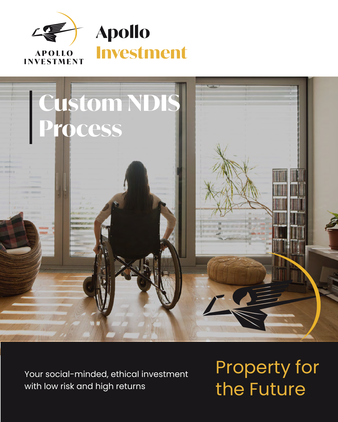



Your social-minded, ethical investment with low risk and high returns

Property for the Future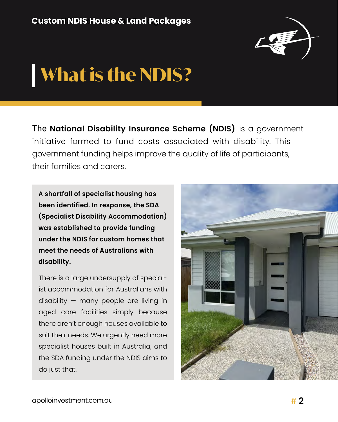

# **What is the NDIS?**

The **National Disability Insurance Scheme (NDIS)** is a government initiative formed to fund costs associated with disability. This government funding helps improve the quality of life of participants, their families and carers.

**A shortfall of specialist housing has been identified. In response, the SDA (Specialist Disability Accommodation) was established to provide funding under the NDIS for custom homes that meet the needs of Australians with disability.**

There is a large undersupply of specialist accommodation for Australians with disability — many people are living in aged care facilities simply because there aren't enough houses available to suit their needs. We urgently need more specialist houses built in Australia, and the SDA funding under the NDIS aims to do just that.

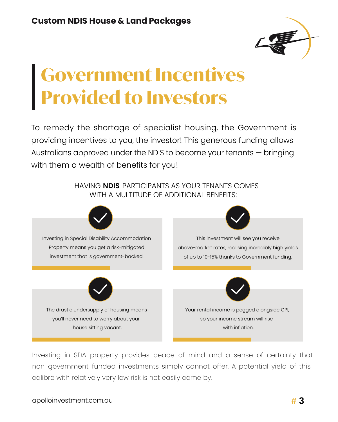

# **Government Incentives Provided to Investors**

To remedy the shortage of specialist housing, the Government is with them a wealth of benefits for you! providing incentives to you, the investor! This generous funding allows Australians approved under the NDIS to become your tenants — bringing

> HAVING **NDIS** PARTICIPANTS AS YOUR TENANTS COMES WITH A MULTITUDE OF ADDITIONAL BENEFITS:



Investing in SDA property provides peace of mind and a sense of certainty that non-government-funded investments simply cannot offer. A potential yield of this calibre with relatively very low risk is not easily come by.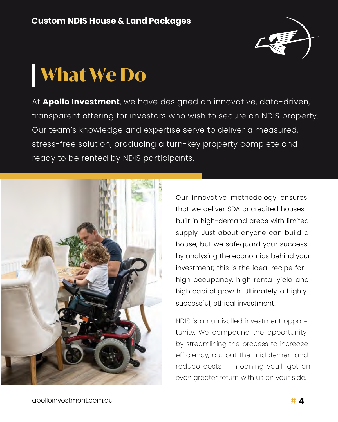

# **What We Do**

At **Apollo Investment**, we have designed an innovative, data-driven, transparent offering for investors who wish to secure an NDIS property. Our team's knowledge and expertise serve to deliver a measured, stress-free solution, producing a turn-key property complete and ready to be rented by NDIS participants.



Our innovative methodology ensures that we deliver SDA accredited houses, built in high-demand areas with limited supply. Just about anyone can build a house, but we safeguard your success by analysing the economics behind your investment; this is the ideal recipe for high occupancy, high rental yield and high capital growth. Ultimately, a highly successful, ethical investment!

NDIS is an unrivalled investment opportunity. We compound the opportunity by streamlining the process to increase efficiency, cut out the middlemen and reduce costs — meaning you'll get an even greater return with us on your side.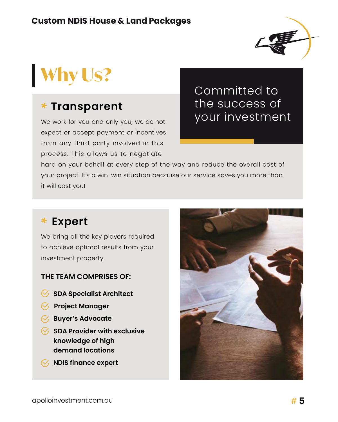

# **Why Us?**

### **T** \* **ransparent**

We work for you and only you; we do not expect or accept payment or incentives from any third party involved in this process. This allows us to negotiate

Committed to the success of your investment

hard on your behalf at every step of the way and reduce the overall cost of your project. It's a win-win situation because our service saves you more than it will cost you!

### \* **Expert**

We bring all the key players required to achieve optimal results from your investment property.

#### **THE TEAM COMPRISES OF:**

- **SDA Specialist Architect**
- **Project Manager**
- **Buyer's Advocate**
- **SDA Provider with exclusive knowledge of high demand locations**
- **NDIS finance expert**

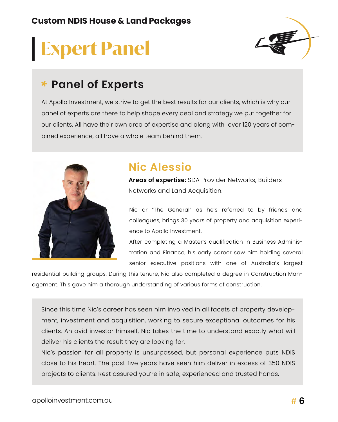# **Expert Panel**



### \* **Panel of Experts**

At Apollo Investment, we strive to get the best results for our clients, which is why our panel of experts are there to help shape every deal and strategy we put together for our clients. All have their own area of expertise and along with over 120 years of combined experience, all have a whole team behind them.



### **Nic Alessio**

**Areas of expertise:** SDA Provider Networks, Builders Networks and Land Acquisition.

Nic or "The General" as he's referred to by friends and colleagues, brings 30 years of property and acquisition experience to Apollo Investment.

After completing a Master's qualification in Business Administration and Finance, his early career saw him holding several senior executive positions with one of Australia's largest

residential building groups. During this tenure, Nic also completed a degree in Construction Management. This gave him a thorough understanding of various forms of construction.

Since this time Nic's career has seen him involved in all facets of property development, investment and acquisition, working to secure exceptional outcomes for his clients. An avid investor himself, Nic takes the time to understand exactly what will deliver his clients the result they are looking for.

Nic's passion for all property is unsurpassed, but personal experience puts NDIS close to his heart. The past five years have seen him deliver in excess of 350 NDIS projects to clients. Rest assured you're in safe, experienced and trusted hands.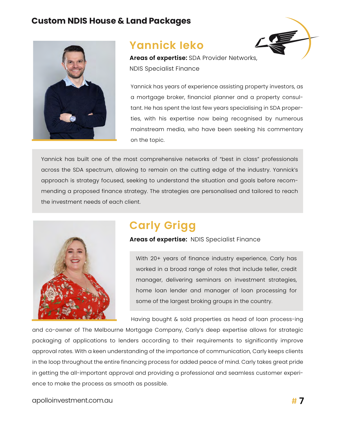

### **Yannick Ieko**



**Areas of expertise:** SDA Provider Networks, NDIS Specialist Finance

Yannick has years of experience assisting property investors, as a mortgage broker, financial planner and a property consultant. He has spent the last few years specialising in SDA properties, with his expertise now being recognised by numerous mainstream media, who have been seeking his commentary on the topic.

Yannick has built one of the most comprehensive networks of "best in class" professionals across the SDA spectrum, allowing to remain on the cutting edge of the industry. Yannick's approach is strategy focused, seeking to understand the situation and goals before recommending a proposed finance strategy. The strategies are personalised and tailored to reach the investment needs of each client.



## **Carly Grigg**

**Areas of expertise:** NDIS Specialist Finance

With 20+ years of finance industry experience, Carly has worked in a broad range of roles that include teller, credit manager, delivering seminars on investment strategies, home loan lender and manager of loan processing for some of the largest broking groups in the country.

Having bought & sold properties as head of loan process-ing

and co-owner of The Melbourne Mortgage Company, Carly's deep expertise allows for strategic packaging of applications to lenders according to their requirements to significantly improve approval rates. With a keen understanding of the importance of communication, Carly keeps clients in the loop throughout the entire financing process for added peace of mind. Carly takes great pride in getting the all-important approval and providing a professional and seamless customer experience to make the process as smooth as possible.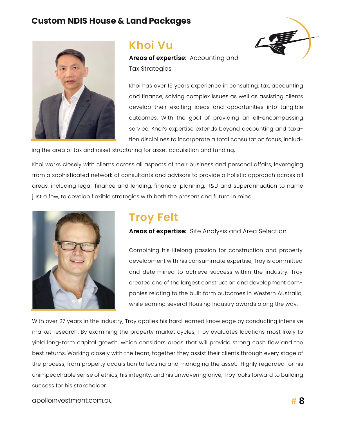

### **Khoi Vu**

**Areas of expertise:** Accounting and Tax Strategies



Khoi has over 15 years experience in consulting, tax, accounting and finance, solving complex issues as well as assisting clients develop their exciting ideas and opportunities into tangible outcomes. With the goal of providing an all-encompassing service, Khoi's expertise extends beyond accounting and taxation disciplines to incorporate a total consultation focus, includ-

ing the area of tax and asset structuring for asset acquisition and funding.

Khoi works closely with clients across all aspects of their business and personal affairs, leveraging from a sophisticated network of consultants and advisors to provide a holistic approach across all areas, including legal, finance and lending, financial planning, R&D and superannuation to name just a few, to develop flexible strategies with both the present and future in mind.



### **Troy Felt**

**Areas of expertise:** Site Analysis and Area Selection

Combining his lifelong passion for construction and property development with his consummate expertise, Troy is committed and determined to achieve success within the industry. Troy created one of the largest construction and development companies relating to the built form outcomes in Western Australia, while earning several Housing Industry awards along the way.

With over 27 years in the industry, Troy applies his hard-earned knowledge by conducting intensive market research. By examining the property market cycles, Troy evaluates locations most likely to yield long-term capital growth, which considers areas that will provide strong cash flow and the best returns. Working closely with the team, together they assist their clients through every stage of the process, from property acquisition to leasing and managing the asset. Highly regarded for his unimpeachable sense of ethics, his integrity, and his unwavering drive, Troy looks forward to building success for his stakeholder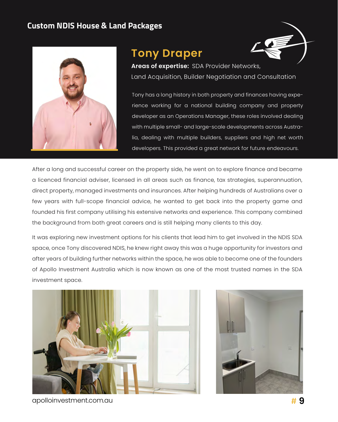

### **Tony Draper**



**Areas of expertise:** SDA Provider Networks, Land Acquisition, Builder Negotiation and Consultation

Tony has a long history in both property and finances having experience working for a national building company and property developer as an Operations Manager, these roles involved dealing with multiple small- and large-scale developments across Australia, dealing with multiple builders, suppliers and high net worth developers. This provided a great network for future endeavours.

After a long and successful career on the property side, he went on to explore finance and became a licenced financial adviser, licensed in all areas such as finance, tax strategies, superannuation, direct property, managed investments and insurances. After helping hundreds of Australians over a few years with full-scope financial advice, he wanted to get back into the property game and founded his first company utilising his extensive networks and experience. This company combined the background from both great careers and is still helping many clients to this day.

It was exploring new investment options for his clients that lead him to get involved in the NDIS SDA space, once Tony discovered NDIS, he knew right away this was a huge opportunity for investors and after years of building further networks within the space, he was able to become one of the founders of Apollo Investment Australia which is now known as one of the most trusted names in the SDA investment space.





apolloinvestment.com.au # **9**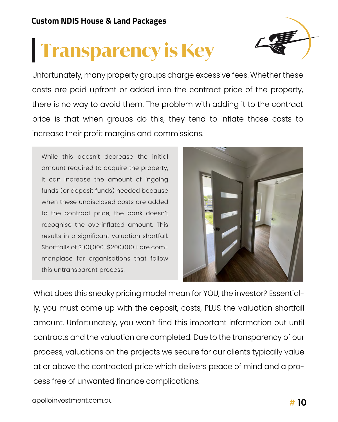# **Transparency is Key**



Unfortunately, many property groups charge excessive fees. Whether these costs are paid upfront or added into the contract price of the property, there is no way to avoid them. The problem with adding it to the contract price is that when groups do this, they tend to inflate those costs to increase their profit margins and commissions.

While this doesn't decrease the initial amount required to acquire the property, it can increase the amount of ingoing funds (or deposit funds) needed because when these undisclosed costs are added to the contract price, the bank doesn't recognise the overinflated amount. This results in a significant valuation shortfall. Shortfalls of \$100,000-\$200,000+ are commonplace for organisations that follow this untransparent process.



What does this sneaky pricing model mean for YOU, the investor? Essentially, you must come up with the deposit, costs, PLUS the valuation shortfall amount. Unfortunately, you won't find this important information out until contracts and the valuation are completed. Due to the transparency of our process, valuations on the projects we secure for our clients typically value at or above the contracted price which delivers peace of mind and a process free of unwanted finance complications.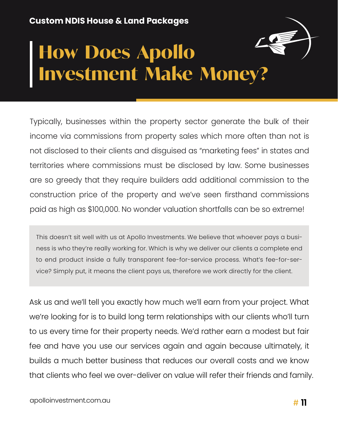# **How Does Apollo Investment Make Money?**

Typically, businesses within the property sector generate the bulk of their income via commissions from property sales which more often than not is not disclosed to their clients and disguised as "marketing fees" in states and territories where commissions must be disclosed by law. Some businesses are so greedy that they require builders add additional commission to the construction price of the property and we've seen firsthand commissions paid as high as \$100,000. No wonder valuation shortfalls can be so extreme!

This doesn't sit well with us at Apollo Investments. We believe that whoever pays a business is who they're really working for. Which is why we deliver our clients a complete end to end product inside a fully transparent fee-for-service process. What's fee-for-service? Simply put, it means the client pays us, therefore we work directly for the client.

Ask us and we'll tell you exactly how much we'll earn from your project. What we're looking for is to build long term relationships with our clients who'll turn to us every time for their property needs. We'd rather earn a modest but fair fee and have you use our services again and again because ultimately, it builds a much better business that reduces our overall costs and we know that clients who feel we over-deliver on value will refer their friends and family.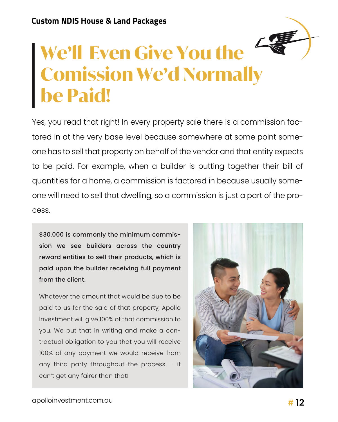

Yes, you read that right! In every property sale there is a commission factored in at the very base level because somewhere at some point someone has to sell that property on behalf of the vendor and that entity expects to be paid. For example, when a builder is putting together their bill of quantities for a home, a commission is factored in because usually someone will need to sell that dwelling, so a commission is just a part of the process.

\$30,000 is commonly the minimum commission we see builders across the country reward entities to sell their products, which is paid upon the builder receiving full payment from the client.

Whatever the amount that would be due to be paid to us for the sale of that property, Apollo Investment will give 100% of that commission to you. We put that in writing and make a contractual obligation to you that you will receive 100% of any payment we would receive from any third party throughout the process  $-$  it can't get any fairer than that!

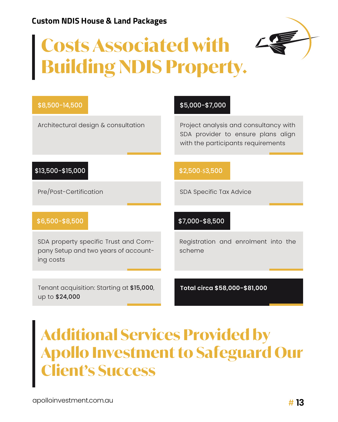# **Costs Associated with Building NDIS Property.**



| \$8,500-14,500                                                                            | \$5,000-\$7,000                                                                                                   |  |  |
|-------------------------------------------------------------------------------------------|-------------------------------------------------------------------------------------------------------------------|--|--|
| Architectural design & consultation                                                       | Project analysis and consultancy with<br>SDA provider to ensure plans align<br>with the participants requirements |  |  |
| \$13,500-\$15,000                                                                         | \$2,500-\$3,500                                                                                                   |  |  |
| Pre/Post-Certification                                                                    | SDA Specific Tax Advice                                                                                           |  |  |
| \$6,500-\$8,500                                                                           | \$7,000-\$8,500                                                                                                   |  |  |
| SDA property specific Trust and Com-<br>pany Setup and two years of account-<br>ing costs | Registration and enrolment into the<br>scheme                                                                     |  |  |
| Tenant acquisition: Starting at \$15,000,<br>up to \$24,000                               | Total circa \$58,000-\$81,000                                                                                     |  |  |

# **Additional Services Provided by Apollo Investment to Safeguard Our Client's Success**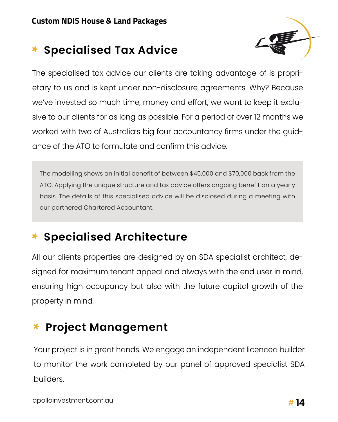## \* **Specialised Tax Advice**



The specialised tax advice our clients are taking advantage of is proprietary to us and is kept under non-disclosure agreements. Why? Because we've invested so much time, money and effort, we want to keep it exclusive to our clients for as long as possible. For a period of over 12 months we worked with two of Australia's big four accountancy firms under the guidance of the ATO to formulate and confirm this advice.

The modelling shows an initial benefit of between \$45,000 and \$70,000 back from the ATO. Applying the unique structure and tax advice offers ongoing benefit on a yearly basis. The details of this specialised advice will be disclosed during a meeting with our partnered Chartered Accountant.

## **Specialised Architecture**

All our clients properties are designed by an SDA specialist architect, designed for maximum tenant appeal and always with the end user in mind, ensuring high occupancy but also with the future capital growth of the property in mind.

## \* **Project Management**

Your project is in great hands. We engage an independent licenced builder to monitor the work completed by our panel of approved specialist SDA builders.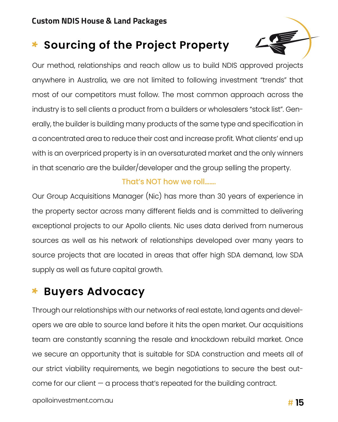## \* **Sourcing of the Project Property**



Our method, relationships and reach allow us to build NDIS approved projects anywhere in Australia, we are not limited to following investment "trends" that most of our competitors must follow. The most common approach across the industry is to sell clients a product from a builders or wholesalers "stock list". Generally, the builder is building many products of the same type and specification in a concentrated area to reduce their cost and increase profit. What clients' end up with is an overpriced property is in an oversaturated market and the only winners in that scenario are the builder/developer and the group selling the property.

### That's NOT how we roll…….

Our Group Acquisitions Manager (Nic) has more than 30 years of experience in the property sector across many different fields and is committed to delivering exceptional projects to our Apollo clients. Nic uses data derived from numerous sources as well as his network of relationships developed over many years to source projects that are located in areas that offer high SDA demand, low SDA supply as well as future capital growth.

## **Buyers Advocacy**

Through our relationships with our networks of real estate, land agents and developers we are able to source land before it hits the open market. Our acquisitions team are constantly scanning the resale and knockdown rebuild market. Once we secure an opportunity that is suitable for SDA construction and meets all of our strict viability requirements, we begin negotiations to secure the best outcome for our client — a process that's repeated for the building contract.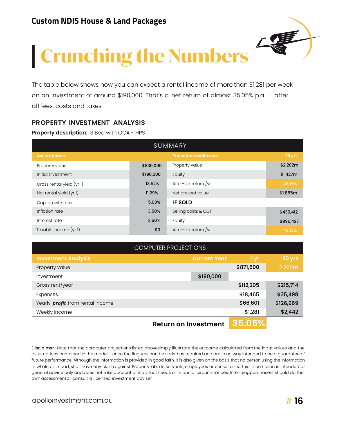

The table below shows how you can expect a rental income of more than \$1,281 per week on an investment of around \$190,000. That's a net return of almost 35.05% p.a. — after all fees, costs and taxes.

#### **PROPERTY INVESTMENT ANALYSIS**

**Property description:** 3 Bed with OCA - HPS

| SUMMARY                   |           |                               |           |  |  |
|---------------------------|-----------|-------------------------------|-----------|--|--|
| <b>Assumptions</b>        |           | <b>Projected results over</b> | 20 yrs    |  |  |
| Property value            | \$830,000 | Property value                | \$2.202m  |  |  |
| Initial investment        | \$190,000 | Equity                        | \$1.427m  |  |  |
| Gross rental yield (yr 1) | 13.52%    | After-tax return /yr          | 46.19%    |  |  |
| Net rental yield $(yr1)$  | 11.29%    | Net present value             | \$1.865m  |  |  |
| Cap. growth rate          | 5.00%     | <b>IF SOLD</b>                |           |  |  |
| Inflation rate            | 3.50%     | Selling costs & CGT           | \$430,412 |  |  |
| Interest rate             | 3.50%     | Equity                        | \$996,427 |  |  |
| Taxable income (yr 1)     | \$0       | After-tax return /yr          | 46.13%    |  |  |

| <b>COMPUTER PROJECTIONS</b>             |                             |             |           |  |  |
|-----------------------------------------|-----------------------------|-------------|-----------|--|--|
| <b>Investment Analysis</b>              | <b>Current Year</b>         | / I yr,     | 20 yrs    |  |  |
| Property value                          |                             | \$871,500   | 2.202m    |  |  |
| Investment                              | \$190,000                   |             |           |  |  |
| Gross rent/year                         |                             | \$112,205   | \$215,714 |  |  |
| Expenses                                |                             | \$18,465    | \$35,498  |  |  |
| Yearly <i>profit</i> from rental income |                             | \$66,601    | \$126,969 |  |  |
| Weekly income                           |                             | \$1,281     | \$2,442   |  |  |
|                                         | <b>Return on Investment</b> | $ 35.05\% $ |           |  |  |

Disclaimer: Note that the computer projections listed abovesimply illustrate the outcome calculated from the input values and the assumptions contained in the model. Hence the fingures can be varied as required and are in no way intended to be a guarantee of general advice only and does not take account of indivitual needs or financial circumstances. Intendingpurchasers should do their in whole or in part, shall have any claim against PropertyLab, i ts servants, employees or consultants. This information is intended as own assessment or consult a licensed investment adviser. future performance. Although the information is provided in good faith, it is also given on the basis that no person using the information,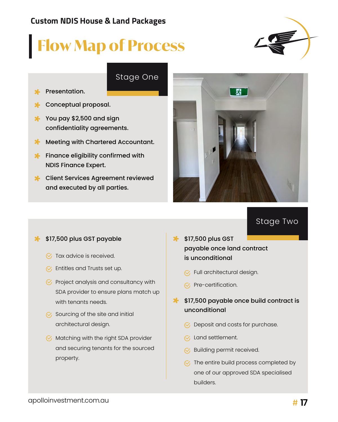# **Flow Map of Process**

### Stage One

- Presentation.
- Conceptual proposal.
- $*$  You pay \$2,500 and sign confidentiality agreements.
- ⊁. Meeting with Chartered Accountant.
- **\*** Finance eligibility confirmed with NDIS Finance Expert.
- **X** Client Services Agreement reviewed and executed by all parties.



Stage Two

#### \$17,500 plus GST payable  $\ast$

- $\heartsuit$  Tax advice is received.
- $\heartsuit$ , Entitles and Trusts set up.
- $\heartsuit$  Project analysis and consultancy with SDA provider to ensure plans match up with tenants needs.
- $\heartsuit$  Sourcing of the site and initial architectural design.
- $\heartsuit$  Matching with the right SDA provider and securing tenants for the sourced property.
- **\*** \$17,500 plus GST payable once land contract is unconditional
	- $\heartsuit$ , Full architectural design.
	- $\heartsuit$ , Pre-certification.
- **\*** \$17,500 payable once build contract is unconditional
	- $\heartsuit$  Deposit and costs for purchase.
	- $\mathcal{C}_1$  Land settlement.
	- $\heartsuit$ , Building permit received.
	- $\sqrt{\ }$  The entire build process completed by one of our approved SDA specialised builders.

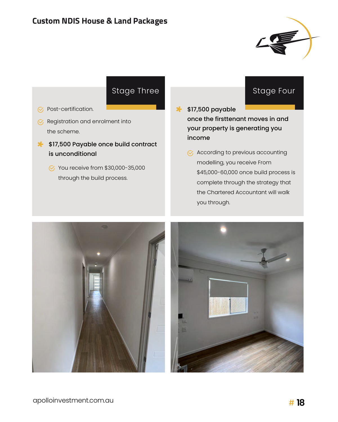

### Stage Three

- $\varnothing$  Post-certification.
- $\mathcal G$ , Registration and enrolment into the scheme.
- **\$17,500 Payable once build contract** is unconditional
	- $\%$  You receive from \$30,000-35,000 through the build process.

### Stage Four

- $*$  \$17,500 payable once the firsttenant moves in and your property is generating you income
	- $\heartsuit$  According to previous accounting modelling, you receive From \$45,000-60,000 once build process is complete through the strategy that the Chartered Accountant will walk you through.

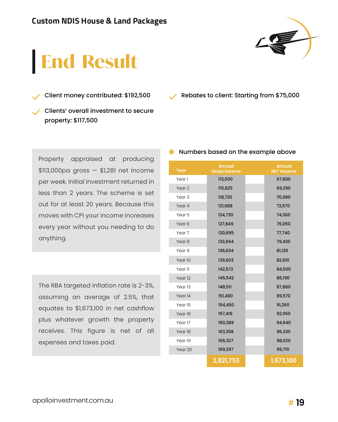

# **End Result**

Client money contributed: \$192,500

Clients' overall investment to secure property: \$117,500

Rebates to client: Starting from \$75,000

Property appraised at producing \$113,000pa gross — \$1,281 net income per week. Initial investment returned in less than 2 years. The scheme is set out for at least 20 years. Because this moves with CPI your income increases every year without you needing to do anything.

The RBA targeted inflation rate is 2-3%, assuming an average of 2.5%, that equates to \$1,673,100 in net cashflow plus whatever growth the property receives. This figure is net of all expenses and taxes paid.

| Year               | <b>Annual</b><br><b>Gross Income</b> | <b>Annual</b><br><b>NET Income</b> |
|--------------------|--------------------------------------|------------------------------------|
| Year 1             | 113,000                              | 67,600                             |
| Year <sub>2</sub>  | 115,825                              | 69,290                             |
| Year <sub>3</sub>  | 118,720                              | 70,980                             |
| Year 4             | 121,688                              | 72,670                             |
| Year <sub>5</sub>  | 124,730                              | 74,360                             |
| Year <sub>6</sub>  | 127,849                              | 76,050                             |
| Year <sub>7</sub>  | 130,695                              | 77,740                             |
| Year <sub>8</sub>  | 133,664                              | 79,430                             |
| Year <sub>9</sub>  | 136,634                              | 81,120                             |
| Year 10            | 139,603                              | 82,810                             |
| Year 11            | 142,572                              | 84,500                             |
| Year <sub>12</sub> | 145,542                              | 86,190                             |
| Year <sub>13</sub> | 148,511                              | 87,880                             |
| Year <sub>14</sub> | 151,480                              | 89,570                             |
| Year 15            | 154,450                              | 91,260                             |
| Year 16            | 157,419                              | 92,950                             |
| Year 17            | 160,389                              | 94,640                             |
| Year 18            | 163,358                              | 96,330                             |
| Year 19            | 166,327                              | 98,020                             |
| Year 20            | 169,297                              | 99,710                             |
|                    | 2,821,753                            | 1,673,100                          |

#### **X** Numbers based on the example above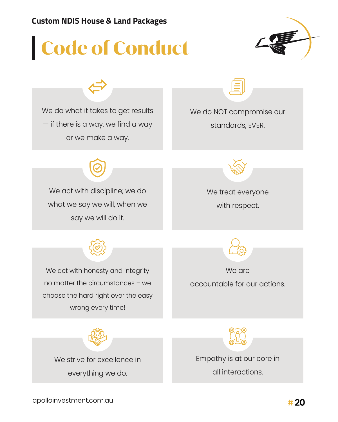# **Code of Conduct**



We do what it takes to get results — if there is a way, we find a way or we make a way.

We do NOT compromise our standards, EVER.



We act with discipline; we do what we say we will, when we say we will do it.

We treat everyone

with respect.



We act with honesty and integrity no matter the circumstances – we choose the hard right over the easy wrong every time!



We are accountable for our actions.

We strive for excellence in everything we do.



Empathy is at our core in all interactions.